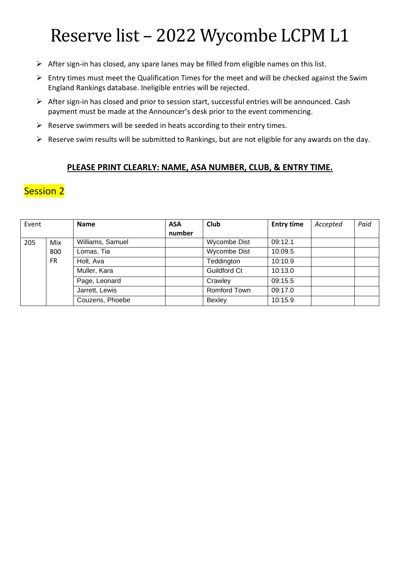# Reserve list – 2022 Wycombe LCPM L1

- ➢ After sign-in has closed, any spare lanes may be filled from eligible names on this list.
- $\triangleright$  Entry times must meet the Qualification Times for the meet and will be checked against the Swim England Rankings database. Ineligible entries will be rejected.
- ➢ After sign-in has closed and prior to session start, successful entries will be announced. Cash payment must be made at the Announcer's desk prior to the event commencing.
- $\triangleright$  Reserve swimmers will be seeded in heats according to their entry times.
- $\triangleright$  Reserve swim results will be submitted to Rankings, but are not eligible for any awards on the day.

#### **PLEASE PRINT CLEARLY: NAME, ASA NUMBER, CLUB, & ENTRY TIME.**

### **Session 2**

| Event |            | <b>Name</b>      | <b>ASA</b> | Club                | <b>Entry time</b> | Accepted | Paid |
|-------|------------|------------------|------------|---------------------|-------------------|----------|------|
|       |            |                  | number     |                     |                   |          |      |
| 205   | <b>Mix</b> | Williams, Samuel |            | <b>Wycombe Dist</b> | 09:12.1           |          |      |
|       | 800        | Lomas, Tia       |            | Wycombe Dist        | 10:09.5           |          |      |
|       | <b>FR</b>  | Holt, Ava        |            | Teddington          | 10:10.9           |          |      |
|       |            | Muller, Kara     |            | <b>Guildford Ct</b> | 10:13.0           |          |      |
|       |            | Page, Leonard    |            | Crawley             | 09:15.5           |          |      |
|       |            | Jarrett, Lewis   |            | Romford Town        | 09:17.0           |          |      |
|       |            | Couzens, Phoebe  |            | Bexley              | 10:15.9           |          |      |